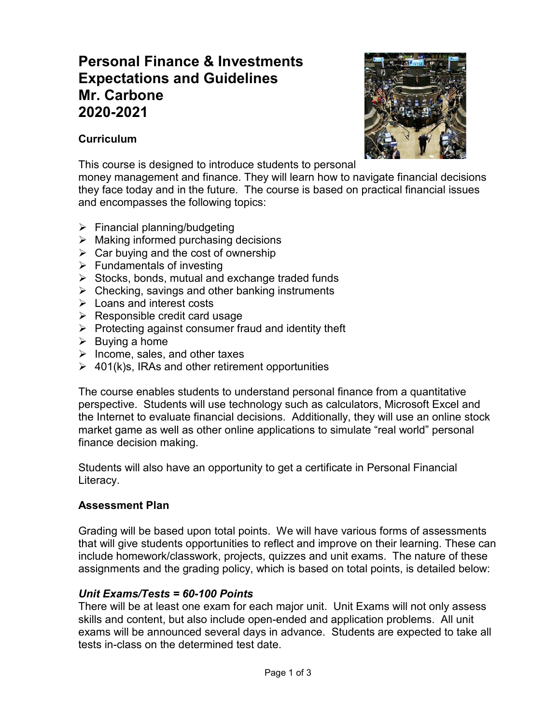# **Personal Finance & Investments Expectations and Guidelines Mr. Carbone 2020-2021**

## **Curriculum**



This course is designed to introduce students to personal

money management and finance. They will learn how to navigate financial decisions they face today and in the future. The course is based on practical financial issues and encompasses the following topics:

- $\triangleright$  Financial planning/budgeting
- $\triangleright$  Making informed purchasing decisions
- $\triangleright$  Car buying and the cost of ownership
- $\triangleright$  Fundamentals of investing
- $\triangleright$  Stocks, bonds, mutual and exchange traded funds
- $\triangleright$  Checking, savings and other banking instruments
- $\triangleright$  Loans and interest costs
- $\triangleright$  Responsible credit card usage
- $\triangleright$  Protecting against consumer fraud and identity theft
- $\triangleright$  Buying a home
- $\triangleright$  Income, sales, and other taxes
- $\geq 401(k)s$ , IRAs and other retirement opportunities

The course enables students to understand personal finance from a quantitative perspective. Students will use technology such as calculators, Microsoft Excel and the Internet to evaluate financial decisions. Additionally, they will use an online stock market game as well as other online applications to simulate "real world" personal finance decision making.

Students will also have an opportunity to get a certificate in Personal Financial Literacy.

# **Assessment Plan**

Grading will be based upon total points. We will have various forms of assessments that will give students opportunities to reflect and improve on their learning. These can include homework/classwork, projects, quizzes and unit exams. The nature of these assignments and the grading policy, which is based on total points, is detailed below:

# *Unit Exams/Tests = 60-100 Points*

There will be at least one exam for each major unit. Unit Exams will not only assess skills and content, but also include open-ended and application problems. All unit exams will be announced several days in advance. Students are expected to take all tests in-class on the determined test date.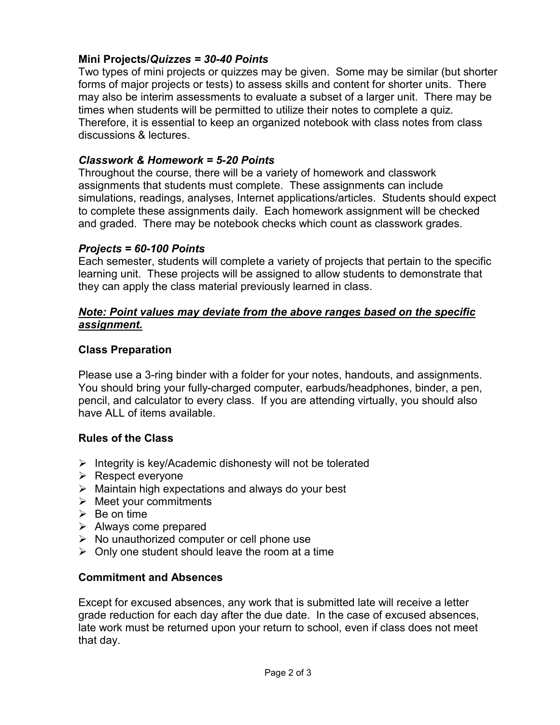#### **Mini Projects/***Quizzes = 30-40 Points*

Two types of mini projects or quizzes may be given. Some may be similar (but shorter forms of major projects or tests) to assess skills and content for shorter units. There may also be interim assessments to evaluate a subset of a larger unit. There may be times when students will be permitted to utilize their notes to complete a quiz. Therefore, it is essential to keep an organized notebook with class notes from class discussions & lectures.

## *Classwork & Homework = 5-20 Points*

Throughout the course, there will be a variety of homework and classwork assignments that students must complete. These assignments can include simulations, readings, analyses, Internet applications/articles. Students should expect to complete these assignments daily. Each homework assignment will be checked and graded. There may be notebook checks which count as classwork grades.

#### *Projects = 60-100 Points*

Each semester, students will complete a variety of projects that pertain to the specific learning unit. These projects will be assigned to allow students to demonstrate that they can apply the class material previously learned in class.

#### *Note: Point values may deviate from the above ranges based on the specific assignment.*

#### **Class Preparation**

Please use a 3-ring binder with a folder for your notes, handouts, and assignments. You should bring your fully-charged computer, earbuds/headphones, binder, a pen, pencil, and calculator to every class. If you are attending virtually, you should also have ALL of items available.

## **Rules of the Class**

- $\triangleright$  Integrity is key/Academic dishonesty will not be tolerated
- $\triangleright$  Respect everyone
- $\triangleright$  Maintain high expectations and always do your best
- $\triangleright$  Meet your commitments
- $\triangleright$  Be on time
- $\triangleright$  Always come prepared
- $\triangleright$  No unauthorized computer or cell phone use
- $\triangleright$  Only one student should leave the room at a time

#### **Commitment and Absences**

Except for excused absences, any work that is submitted late will receive a letter grade reduction for each day after the due date. In the case of excused absences, late work must be returned upon your return to school, even if class does not meet that day.